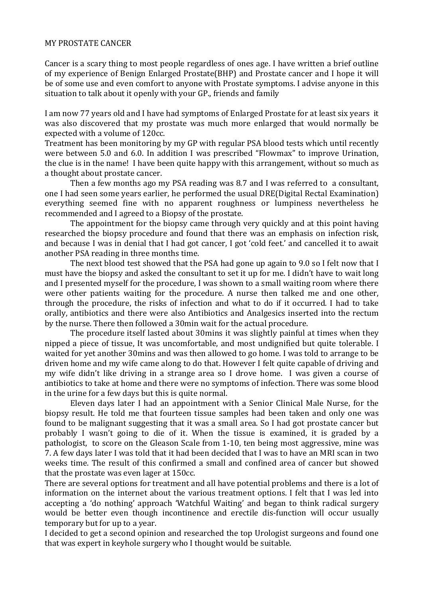## MY PROSTATE CANCER

Cancer is a scary thing to most people regardless of ones age. I have written a brief outline of my experience of Benign Enlarged Prostate(BHP) and Prostate cancer and I hope it will be of some use and even comfort to anyone with Prostate symptoms. I advise anyone in this situation to talk about it openly with your GP., friends and family

I am now 77 years old and I have had symptoms of Enlarged Prostate for at least six years it was also discovered that my prostate was much more enlarged that would normally be expected with a volume of 120cc.

Treatment has been monitoring by my GP with regular PSA blood tests which until recently were between 5.0 and 6.0. In addition I was prescribed "Flowmax" to improve Urination, the clue is in the name! I have been quite happy with this arrangement, without so much as a thought about prostate cancer.

Then a few months ago my PSA reading was 8.7 and I was referred to a consultant, one I had seen some years earlier, he performed the usual DRE(Digital Rectal Examination) everything seemed fine with no apparent roughness or lumpiness nevertheless he recommended and I agreed to a Biopsy of the prostate.

The appointment for the biopsy came through very quickly and at this point having researched the biopsy procedure and found that there was an emphasis on infection risk, and because I was in denial that I had got cancer, I got 'cold feet.' and cancelled it to await another PSA reading in three months time.

The next blood test showed that the PSA had gone up again to 9.0 so I felt now that I must have the biopsy and asked the consultant to set it up for me. I didn't have to wait long and I presented myself for the procedure, I was shown to a small waiting room where there were other patients waiting for the procedure. A nurse then talked me and one other, through the procedure, the risks of infection and what to do if it occurred. I had to take orally, antibiotics and there were also Antibiotics and Analgesics inserted into the rectum by the nurse. There then followed a 30min wait for the actual procedure.

The procedure itself lasted about 30mins it was slightly painful at times when they nipped a piece of tissue, It was uncomfortable, and most undignified but quite tolerable. I waited for yet another 30mins and was then allowed to go home. I was told to arrange to be driven home and my wife came along to do that. However I felt quite capable of driving and my wife didn't like driving in a strange area so I drove home. I was given a course of antibiotics to take at home and there were no symptoms of infection. There was some blood in the urine for a few days but this is quite normal.

Eleven days later I had an appointment with a Senior Clinical Male Nurse, for the biopsy result. He told me that fourteen tissue samples had been taken and only one was found to be malignant suggesting that it was a small area. So I had got prostate cancer but probably I wasn't going to die of it. When the tissue is examined, it is graded by a pathologist, to score on the Gleason Scale from 1-10, ten being most aggressive, mine was 7. A few days later I was told that it had been decided that I was to have an MRI scan in two weeks time. The result of this confirmed a small and confined area of cancer but showed that the prostate was even lager at  $150cc$ .

There are several options for treatment and all have potential problems and there is a lot of information on the internet about the various treatment options. I felt that I was led into accepting a 'do nothing' approach 'Watchful Waiting' and began to think radical surgery would be better even though incontinence and erectile dis-function will occur usually temporary but for up to a year.

I decided to get a second opinion and researched the top Urologist surgeons and found one that was expert in keyhole surgery who I thought would be suitable.